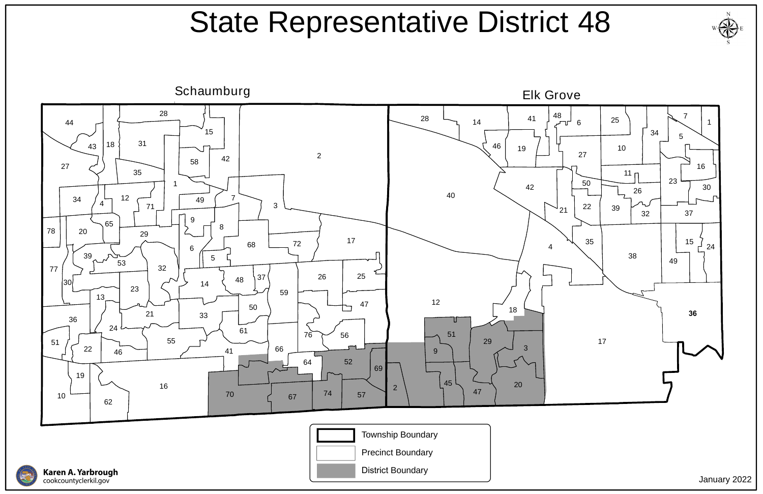

**Karen A. Yarbrough**<br>cookcountyclerkil.gov







## State Representative District 48

January 2022